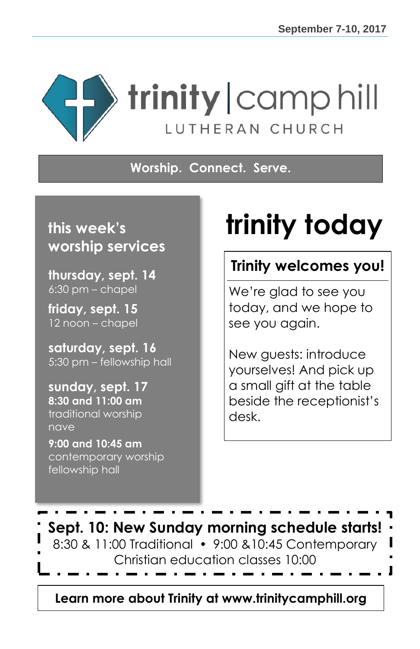

**Worship. Connect. Serve.**

### **this week's worship services**

**thursday, sept. 14**  $6:30$  pm – chapel

**friday, sept. 15** 12 noon – chapel

**saturday, sept. 16** 5:30 pm – fellowship hall

**sunday, sept. 17 8:30 and 11:00 am** traditional worship nave

**9:00 and 10:45 am** contemporary worship fellowship hall

# **trinity today**

### **Trinity welcomes you!**

We're glad to see you today, and we hope to see you again.

New guests: introduce yourselves! And pick up a small gift at the table beside the receptionist's desk.



**Learn more about Trinity at www.trinitycamphill.org**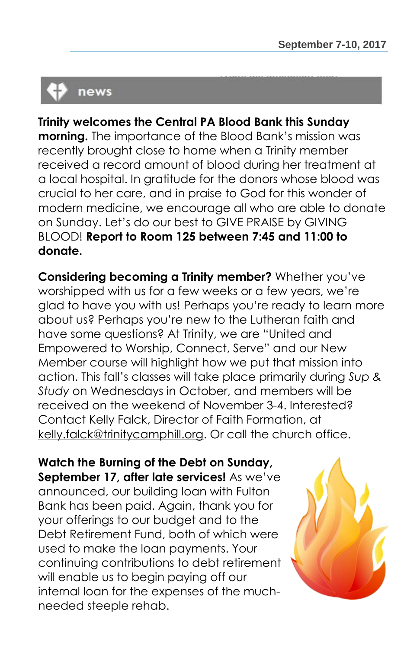# news

### **Trinity welcomes the Central PA Blood Bank this Sunday**

**morning.** The importance of the Blood Bank's mission was recently brought close to home when a Trinity member received a record amount of blood during her treatment at a local hospital. In gratitude for the donors whose blood was crucial to her care, and in praise to God for this wonder of modern medicine, we encourage all who are able to donate on Sunday. Let's do our best to GIVE PRAISE by GIVING BLOOD! **Report to Room 125 between 7:45 and 11:00 to donate.**

**Considering becoming a Trinity member?** Whether you've worshipped with us for a few weeks or a few years, we're glad to have you with us! Perhaps you're ready to learn more about us? Perhaps you're new to the Lutheran faith and have some questions? At Trinity, we are "United and Empowered to Worship, Connect, Serve" and our New Member course will highlight how we put that mission into action. This fall's classes will take place primarily during *Sup & Study* on Wednesdays in October, and members will be received on the weekend of November 3-4. Interested? Contact Kelly Falck, Director of Faith Formation, at [kelly.falck@trinitycamphill.org.](mailto:kelly.falck@trinitycamphill.org) Or call the church office.

**Watch the Burning of the Debt on Sunday, September 17, after late services!** As we've announced, our building loan with Fulton Bank has been paid. Again, thank you for your offerings to our budget and to the Debt Retirement Fund, both of which were used to make the loan payments. Your continuing contributions to debt retirement will enable us to begin paying off our internal loan for the expenses of the muchneeded steeple rehab.

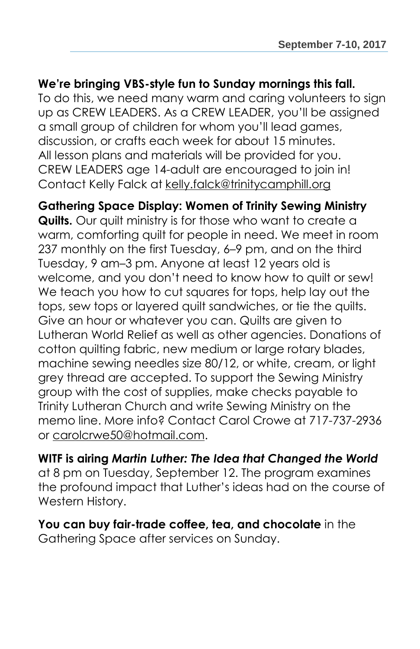#### **We're bringing VBS-style fun to Sunday mornings this fall.**

To do this, we need many warm and caring volunteers to sign up as CREW LEADERS. As a CREW LEADER, you'll be assigned a small group of children for whom you'll lead games, discussion, or crafts each week for about 15 minutes. All lesson plans and materials will be provided for you. CREW LEADERS age 14-adult are encouraged to join in! Contact Kelly Falck at [kelly.falck@trinitycamphill.org](mailto:kelly.falck@trinitycamphill.org)

#### **Gathering Space Display: Women of Trinity Sewing Ministry**

**Quilts.** Our quilt ministry is for those who want to create a warm, comforting quilt for people in need. We meet in room 237 monthly on the first Tuesday, 6–9 pm, and on the third Tuesday, 9 am–3 pm. Anyone at least 12 years old is welcome, and you don't need to know how to quilt or sew! We teach you how to cut squares for tops, help lay out the tops, sew tops or layered quilt sandwiches, or tie the quilts. Give an hour or whatever you can. Quilts are given to Lutheran World Relief as well as other agencies. Donations of cotton quilting fabric, new medium or large rotary blades, machine sewing needles size 80/12, or white, cream, or light grey thread are accepted. To support the Sewing Ministry group with the cost of supplies, make checks payable to Trinity Lutheran Church and write Sewing Ministry on the memo line. More info? Contact Carol Crowe at 717-737-2936 or [carolcrwe50@hotmail.com.](mailto:carolcrwe50@hotmail.com)

**WITF is airing** *Martin Luther: The Idea that Changed the World* at 8 pm on Tuesday, September 12. The program examines the profound impact that Luther's ideas had on the course of Western History.

### **You can buy fair-trade coffee, tea, and chocolate** in the Gathering Space after services on Sunday.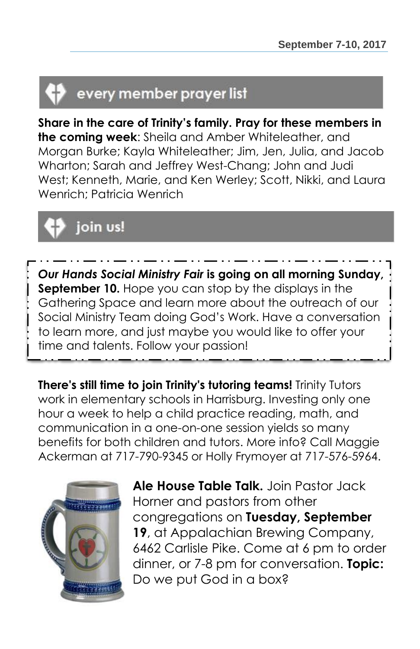# every member prayer list

**Share in the care of Trinity's family. Pray for these members in the coming week**: Sheila and Amber Whiteleather, and Morgan Burke; Kayla Whiteleather; Jim, Jen, Julia, and Jacob Wharton; Sarah and Jeffrey West-Chang; John and Judi West; Kenneth, Marie, and Ken Werley; Scott, Nikki, and Laura Wenrich; Patricia Wenrich

# join us!

*Our Hands Social Ministry Fair* **is going on all morning Sunday, September 10.** Hope you can stop by the displays in the Gathering Space and learn more about the outreach of our Social Ministry Team doing God's Work. Have a conversation to learn more, and just maybe you would like to offer your time and talents. Follow your passion!

**There's still time to join Trinity's tutoring teams!** Trinity Tutors work in elementary schools in Harrisburg. Investing only one hour a week to help a child practice reading, math, and communication in a one-on-one session yields so many benefits for both children and tutors. More info? Call Maggie Ackerman at 717-790-9345 or Holly Frymoyer at 717-576-5964.



**Ale House Table Talk.** Join Pastor Jack Horner and pastors from other congregations on **Tuesday, September 19**, at Appalachian Brewing Company, 6462 Carlisle Pike. Come at 6 pm to order dinner, or 7-8 pm for conversation. **Topic:** Do we put God in a box?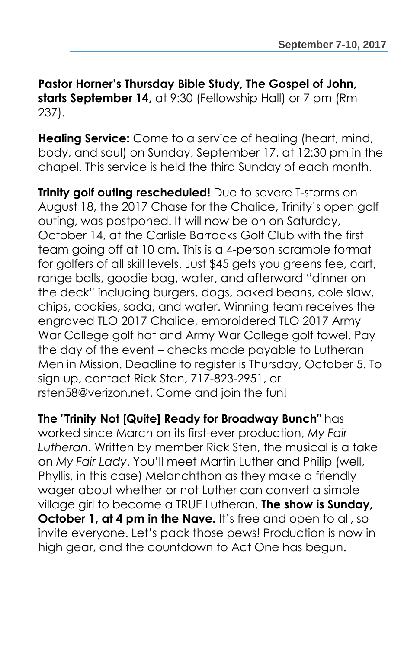**Pastor Horner's Thursday Bible Study, The Gospel of John, starts September 14,** at 9:30 (Fellowship Hall) or 7 pm (Rm 237).

**Healing Service:** Come to a service of healing (heart, mind, body, and soul) on Sunday, September 17, at 12:30 pm in the chapel. This service is held the third Sunday of each month.

**Trinity golf outing rescheduled!** Due to severe T-storms on August 18, the 2017 Chase for the Chalice, Trinity's open golf outing, was postponed. It will now be on on Saturday, October 14, at the Carlisle Barracks Golf Club with the first team going off at 10 am. This is a 4-person scramble format for golfers of all skill levels. Just \$45 gets you greens fee, cart, range balls, goodie bag, water, and afterward "dinner on the deck" including burgers, dogs, baked beans, cole slaw, chips, cookies, soda, and water. Winning team receives the engraved TLO 2017 Chalice, embroidered TLO 2017 Army War College golf hat and Army War College golf towel. Pay the day of the event – checks made payable to Lutheran Men in Mission. Deadline to register is Thursday, October 5. To sign up, contact Rick Sten, 717-823-2951, or [rsten58@verizon.net.](mailto:rsten58@verizon.net) Come and join the fun!

**The "Trinity Not [Quite] Ready for Broadway Bunch"** has worked since March on its first-ever production, *My Fair Lutheran*. Written by member Rick Sten, the musical is a take on *My Fair Lady*. You'll meet Martin Luther and Philip (well, Phyllis, in this case) Melanchthon as they make a friendly wager about whether or not Luther can convert a simple village girl to become a TRUE Lutheran. **The show is Sunday, October 1, at 4 pm in the Nave.** It's free and open to all, so invite everyone. Let's pack those pews! Production is now in high gear, and the countdown to Act One has begun.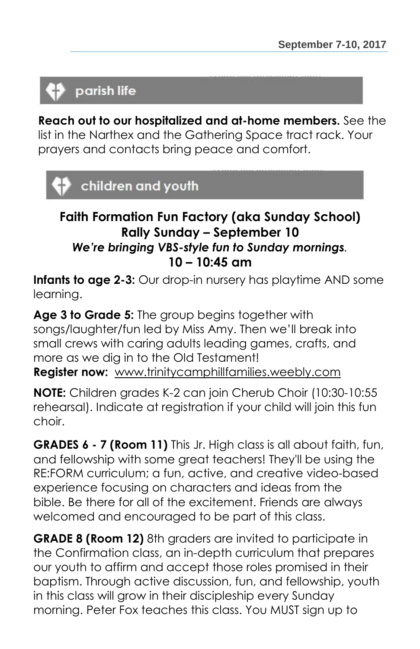### parish life

**Reach out to our hospitalized and at-home members.** See the list in the Narthex and the Gathering Space tract rack. Your prayers and contacts bring peace and comfort.

### children and youth

### **Faith Formation Fun Factory (aka Sunday School) Rally Sunday – September 10** *We're bringing VBS-style fun to Sunday mornings.* **10 – 10:45 am**

**Infants to age 2-3:** Our drop-in nursery has playtime AND some learning.

**Age 3 to Grade 5:** The group begins together with songs/laughter/fun led by Miss Amy. Then we'll break into small crews with caring adults leading games, crafts, and more as we dig in to the Old Testament! **Register now:** [www.trinitycamphillfamilies.weebly.com](http://www.trinitycamphillfamilies.weebly.com/)

**NOTE:** Children grades K-2 can join Cherub Choir (10:30-10:55 rehearsal). Indicate at registration if your child will join this fun choir.

**GRADES 6 - 7 (Room 11)** This Jr. High class is all about faith, fun, and fellowship with some great teachers! They'll be using the RE:FORM curriculum; a fun, active, and creative video-based experience focusing on characters and ideas from the bible. Be there for all of the excitement. Friends are always welcomed and encouraged to be part of this class.

**GRADE 8 (Room 12)** 8th graders are invited to participate in the Confirmation class, an in-depth curriculum that prepares our youth to affirm and accept those roles promised in their baptism. Through active discussion, fun, and fellowship, youth in this class will grow in their discipleship every Sunday morning. Peter Fox teaches this class. You MUST sign up to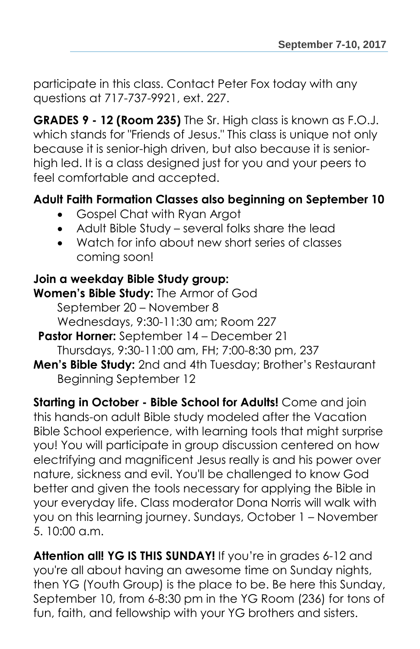participate in this class. Contact Peter Fox today with any questions at 717-737-9921, ext. 227.

**GRADES 9 - 12 (Room 235)** The Sr. High class is known as F.O.J. which stands for "Friends of Jesus." This class is unique not only because it is senior-high driven, but also because it is seniorhigh led. It is a class designed just for you and your peers to feel comfortable and accepted.

### **Adult Faith Formation Classes also beginning on September 10**

- Gospel Chat with Ryan Argot
- Adult Bible Study several folks share the lead
- Watch for info about new short series of classes coming soon!

### **Join a weekday Bible Study group:**

**Women's Bible Study:** The Armor of God September 20 – November 8 Wednesdays, 9:30-11:30 am; Room 227

**Pastor Horner:** September 14 – December 21 Thursdays, 9:30-11:00 am, FH; 7:00-8:30 pm, 237

**Men's Bible Study:** 2nd and 4th Tuesday; Brother's Restaurant Beginning September 12

**Starting in October - Bible School for Adults!** Come and join this hands-on adult Bible study modeled after the Vacation Bible School experience, with learning tools that might surprise you! You will participate in group discussion centered on how electrifying and magnificent Jesus really is and his power over nature, sickness and evil. You'll be challenged to know God better and given the tools necessary for applying the Bible in your everyday life. Class moderator Dona Norris will walk with you on this learning journey. Sundays, October 1 – November 5. 10:00 a.m.

**Attention all! YG IS THIS SUNDAY!** If you're in grades 6-12 and you're all about having an awesome time on Sunday nights, then YG (Youth Group) is the place to be. Be here this Sunday, September 10, from 6-8:30 pm in the YG Room (236) for tons of fun, faith, and fellowship with your YG brothers and sisters.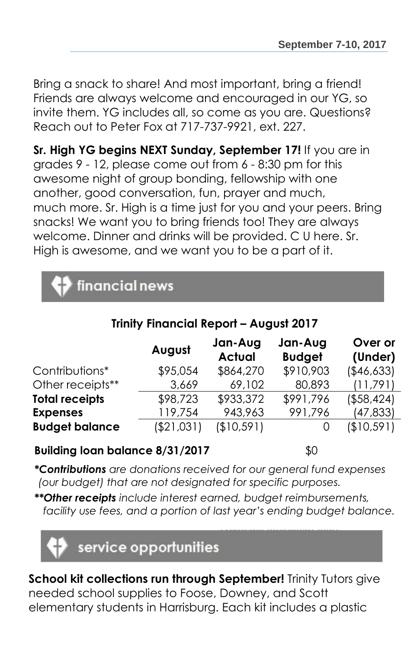Bring a snack to share! And most important, bring a friend! Friends are always welcome and encouraged in our YG, so invite them. YG includes all, so come as you are. Questions? Reach out to Peter Fox at 717-737-9921, ext. 227.

**Sr. High YG begins NEXT Sunday, September 17!** If you are in grades 9 - 12, please come out from 6 - 8:30 pm for this awesome night of group bonding, fellowship with one another, good conversation, fun, prayer and much, much more. Sr. High is a time just for you and your peers. Bring snacks! We want you to bring friends too! They are always welcome. Dinner and drinks will be provided. C U here. Sr. High is awesome, and we want you to be a part of it.

| <b>C</b> financial news |  |
|-------------------------|--|
|                         |  |

### **Trinity Financial Report – August 2017**

|                       | August      | Jan-Aug<br><b>Actual</b> | Jan-Aug<br><b>Budget</b> | Over or<br>(Under) |
|-----------------------|-------------|--------------------------|--------------------------|--------------------|
| Contributions*        | \$95,054    | \$864,270                | \$910,903                | (\$46,633)         |
| Other receipts**      | 3,669       | 69,102                   | 80,893                   | (11,791)           |
| <b>Total receipts</b> | \$98,723    | \$933,372                | \$991,796                | ( \$58,424]        |
| <b>Expenses</b>       | 119,754     | 943,963                  | 991,796                  | (47, 833)          |
| <b>Budget balance</b> | ( \$21,031) | (\$10,591)               |                          | (\$10,591)         |

#### **Building loan balance 8/31/2017** \$0

*\*Contributions are donations received for our general fund expenses (our budget) that are not designated for specific purposes.*

*\*\*Other receipts include interest earned, budget reimbursements, facility use fees, and a portion of last year's ending budget balance.*



**School kit collections run through September!** Trinity Tutors give needed school supplies to Foose, Downey, and Scott elementary students in Harrisburg. Each kit includes a plastic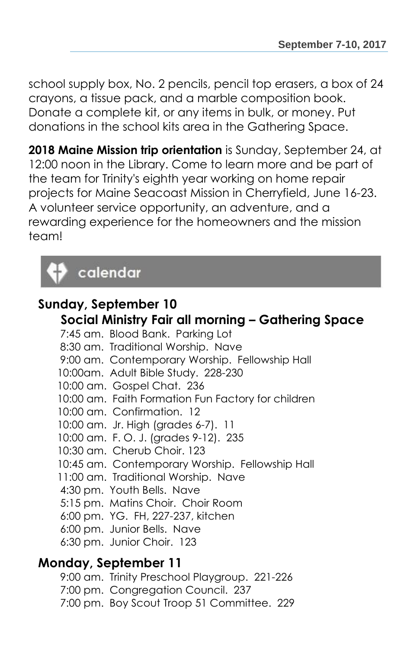school supply box, No. 2 pencils, pencil top erasers, a box of 24 crayons, a tissue pack, and a marble composition book. Donate a complete kit, or any items in bulk, or money. Put donations in the school kits area in the Gathering Space.

**2018 Maine Mission trip orientation** is Sunday, September 24, at 12:00 noon in the Library. Come to learn more and be part of the team for Trinity's eighth year working on home repair projects for Maine Seacoast Mission in Cherryfield, June 16-23. A volunteer service opportunity, an adventure, and a rewarding experience for the homeowners and the mission team!

## calendar

### **Sunday, September 10 Social Ministry Fair all morning – Gathering Space**

7:45 am. Blood Bank. Parking Lot 8:30 am. Traditional Worship. Nave 9:00 am. Contemporary Worship. Fellowship Hall 10:00am. Adult Bible Study. 228-230 10:00 am. Gospel Chat. 236 10:00 am. Faith Formation Fun Factory for children 10:00 am. Confirmation. 12 10:00 am. Jr. High (grades 6-7). 11 10:00 am. F. O. J. (grades 9-12). 235 10:30 am. Cherub Choir. 123 10:45 am. Contemporary Worship. Fellowship Hall 11:00 am. Traditional Worship. Nave 4:30 pm. Youth Bells. Nave 5:15 pm. Matins Choir. Choir Room 6:00 pm. YG. FH, 227-237, kitchen 6:00 pm. Junior Bells. Nave 6:30 pm. Junior Choir. 123

### **Monday, September 11**

9:00 am. Trinity Preschool Playgroup. 221-226 7:00 pm. Congregation Council. 237 7:00 pm. Boy Scout Troop 51 Committee. 229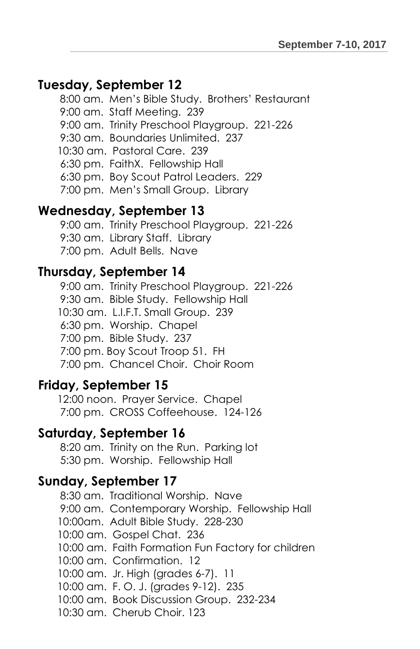### **Tuesday, September 12**

8:00 am. Men's Bible Study. Brothers' Restaurant 9:00 am. Staff Meeting. 239 9:00 am. Trinity Preschool Playgroup. 221-226 9:30 am. Boundaries Unlimited. 237 10:30 am. Pastoral Care. 239 6:30 pm. FaithX. Fellowship Hall 6:30 pm. Boy Scout Patrol Leaders. 229 7:00 pm. Men's Small Group. Library

### **Wednesday, September 13**

9:00 am. Trinity Preschool Playgroup. 221-226 9:30 am. Library Staff. Library 7:00 pm. Adult Bells. Nave

#### **Thursday, September 14**

9:00 am. Trinity Preschool Playgroup. 221-226 9:30 am. Bible Study. Fellowship Hall 10:30 am. L.I.F.T. Small Group. 239 6:30 pm. Worship. Chapel 7:00 pm. Bible Study. 237 7:00 pm. Boy Scout Troop 51. FH 7:00 pm. Chancel Choir. Choir Room

### **Friday, September 15**

12:00 noon. Prayer Service. Chapel 7:00 pm. CROSS Coffeehouse. 124-126

### **Saturday, September 16**

8:20 am. Trinity on the Run. Parking lot 5:30 pm. Worship. Fellowship Hall

### **Sunday, September 17**

8:30 am. Traditional Worship. Nave 9:00 am. Contemporary Worship. Fellowship Hall 10:00am. Adult Bible Study. 228-230 10:00 am. Gospel Chat. 236 10:00 am. Faith Formation Fun Factory for children 10:00 am. Confirmation. 12 10:00 am. Jr. High (grades 6-7). 11 10:00 am. F. O. J. (grades 9-12). 235 10:00 am. Book Discussion Group. 232-234 10:30 am. Cherub Choir. 123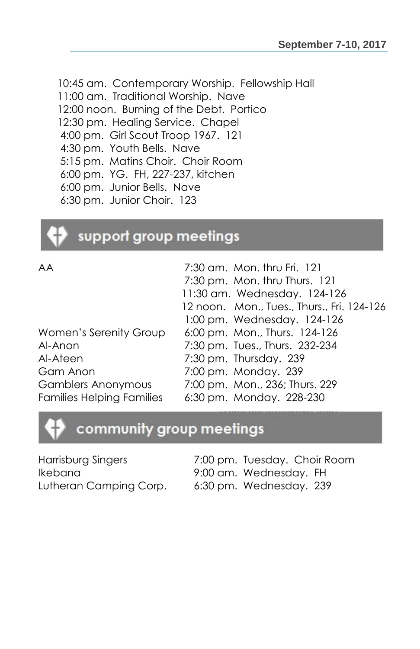10:45 am. Contemporary Worship. Fellowship Hall 11:00 am. Traditional Worship. Nave 12:00 noon. Burning of the Debt. Portico 12:30 pm. Healing Service. Chapel 4:00 pm. Girl Scout Troop 1967. 121 4:30 pm. Youth Bells. Nave 5:15 pm. Matins Choir. Choir Room 6:00 pm. YG. FH, 227-237, kitchen 6:00 pm. Junior Bells. Nave 6:30 pm. Junior Choir. 123

### support group meetings

| 7:30 am. Mon. thru Fri. 121                |
|--------------------------------------------|
| 7:30 pm. Mon. thru Thurs. 121              |
| 11:30 am. Wednesday. 124-126               |
| 12 noon. Mon., Tues., Thurs., Fri. 124-126 |
| 1:00 pm. Wednesday. 124-126                |
| 6:00 pm. Mon., Thurs. 124-126              |
| 7:30 pm. Tues., Thurs. 232-234             |
| 7:30 pm. Thursday. 239                     |
| 7:00 pm. Monday. 239                       |
| 7:00 pm. Mon., 236; Thurs. 229             |
| 6:30 pm. Monday. 228-230                   |
|                                            |

### community group meetings

Harrisburg Singers 7:00 pm. Tuesday. Choir Room Ikebana 9:00 am. Wednesday. FH Lutheran Camping Corp. 6:30 pm. Wednesday. 239